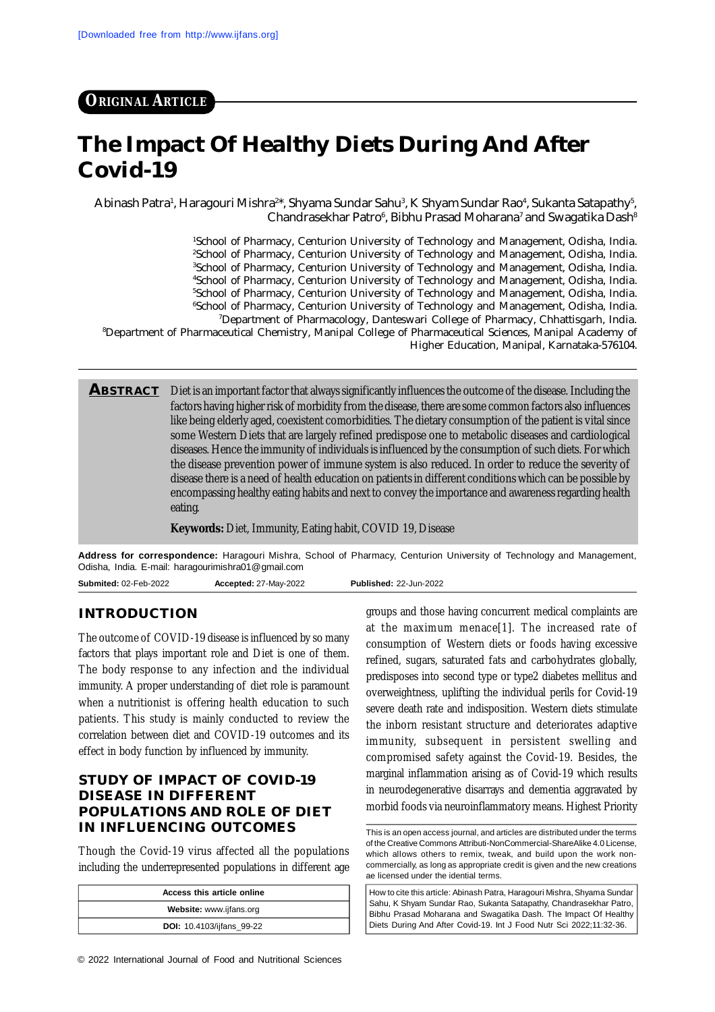# **ORIGINAL ARTICLE**

# **The Impact Of Healthy Diets During And After Covid-19**

Abinash Patra<sup>1</sup>, Haragouri Mishra<sup>2\*</sup>, Shyama Sundar Sahu<sup>3</sup>, K Shyam Sundar Rao<sup>4</sup>, Sukanta Satapathy<sup>5</sup>, Chandrasekhar Patro $^{\rm 6}$ , Bibhu Prasad Moharana $^{\rm 7}$  and Swagatika Dash $^{\rm 8}$ 

School of Pharmacy, Centurion University of Technology and Management, Odisha, India. <sup>2</sup>School of Pharmacy, Centurion University of Technology and Management, Odisha, India. School of Pharmacy, Centurion University of Technology and Management, Odisha, India. School of Pharmacy, Centurion University of Technology and Management, Odisha, India. <sup>5</sup>School of Pharmacy, Centurion University of Technology and Management, Odisha, India. School of Pharmacy, Centurion University of Technology and Management, Odisha, India. Department of Pharmacology, Danteswari College of Pharmacy, Chhattisgarh, India. Department of Pharmaceutical Chemistry, Manipal College of Pharmaceutical Sciences, Manipal Academy of Higher Education, Manipal, Karnataka-576104.

**ABSTRACT** Diet is an important factor that always significantly influences the outcome of the disease. Including the factors having higher risk of morbidity from the disease, there are some common factors also influences like being elderly aged, coexistent comorbidities. The dietary consumption of the patient is vital since some Western Diets that are largely refined predispose one to metabolic diseases and cardiological diseases. Hence the immunity of individuals is influenced by the consumption of such diets. For which the disease prevention power of immune system is also reduced. In order to reduce the severity of disease there is a need of health education on patients in different conditions which can be possible by encompassing healthy eating habits and next to convey the importance and awareness regarding health eating.

**Keywords:** Diet, Immunity, Eating habit, COVID 19, Disease

**Address for correspondence:** Haragouri Mishra, School of Pharmacy, Centurion University of Technology and Management, Odisha, India. E-mail: [haragourimishra01@gmail.com](mailto:haragourimishra01@gmail.com)

**Submited:** 02-Feb-2022 **Accepted:** 27-May-2022 **Published:** 22-Jun-2022

#### **INTRODUCTION**

The outcome of COVID-19 disease is influenced by so many factors that plays important role and Diet is one of them. The body response to any infection and the individual immunity. A proper understanding of diet role is paramount when a nutritionist is offering health education to such patients. This study is mainly conducted to review the correlation between diet and COVID-19 outcomes and its effect in body function by influenced by immunity.

## **STUDY OF IMPACT OF COVID-19 DISEASE IN DIFFERENT POPULATIONS AND ROLE OF DIET IN INFLUENCING OUTCOMES**

Though the Covid-19 virus affected all the populations including the underrepresented populations in different age

| Access this article online       |
|----------------------------------|
| Website: www.ijfans.org          |
| <b>DOI:</b> 10.4103/ijfans 99-22 |

groups and those having concurrent medical complaints are at the maximum menace[1]. The increased rate of consumption of Western diets or foods having excessive refined, sugars, saturated fats and carbohydrates globally, predisposes into second type or type2 diabetes mellitus and overweightness, uplifting the individual perils for Covid-19 severe death rate and indisposition. Western diets stimulate the inborn resistant structure and deteriorates adaptive immunity, subsequent in persistent swelling and compromised safety against the Covid-19. Besides, the marginal inflammation arising as of Covid-19 which results in neurodegenerative disarrays and dementia aggravated by morbid foods via neuroinflammatory means. Highest Priority

This is an open access journal, and articles are distributed under the terms of the Creative Commons Attributi-NonCommercial-ShareAlike 4.0 License, which allows others to remix, tweak, and build upon the work noncommercially, as long as appropriate credit is given and the new creations ae licensed under the idential terms.

How to cite this article: Abinash Patra, Haragouri Mishra, Shyama Sundar Sahu, K Shyam Sundar Rao, Sukanta Satapathy, Chandrasekhar Patro, Bibhu Prasad Moharana and Swagatika Dash. The Impact Of Healthy Diets During And After Covid-19. Int J Food Nutr Sci 2022;11:32-36.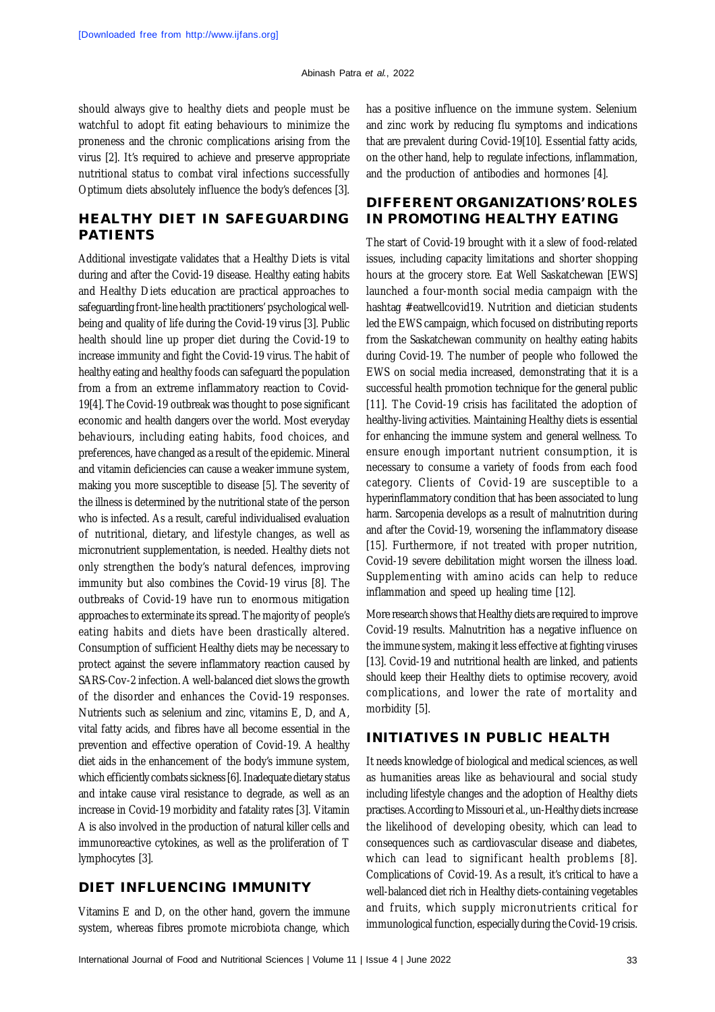should always give to healthy diets and people must be watchful to adopt fit eating behaviours to minimize the proneness and the chronic complications arising from the virus [2]. It's required to achieve and preserve appropriate nutritional status to combat viral infections successfully Optimum diets absolutely influence the body's defences [3].

# **HEALTHY DIET IN SAFEGUARDING PATIENTS**

Additional investigate validates that a Healthy Diets is vital during and after the Covid-19 disease. Healthy eating habits and Healthy Diets education are practical approaches to safeguarding front-line health practitioners' psychological wellbeing and quality of life during the Covid-19 virus [3]. Public health should line up proper diet during the Covid-19 to increase immunity and fight the Covid-19 virus. The habit of healthy eating and healthy foods can safeguard the population from a from an extreme inflammatory reaction to Covid-19[4]. The Covid-19 outbreak was thought to pose significant economic and health dangers over the world. Most everyday behaviours, including eating habits, food choices, and preferences, have changed as a result of the epidemic. Mineral and vitamin deficiencies can cause a weaker immune system, making you more susceptible to disease [5]. The severity of the illness is determined by the nutritional state of the person who is infected. As a result, careful individualised evaluation of nutritional, dietary, and lifestyle changes, as well as micronutrient supplementation, is needed. Healthy diets not only strengthen the body's natural defences, improving immunity but also combines the Covid-19 virus [8]. The outbreaks of Covid-19 have run to enormous mitigation approaches to exterminate its spread. The majority of people's eating habits and diets have been drastically altered. Consumption of sufficient Healthy diets may be necessary to protect against the severe inflammatory reaction caused by SARS-Cov-2 infection. A well-balanced diet slows the growth of the disorder and enhances the Covid-19 responses. Nutrients such as selenium and zinc, vitamins E, D, and A, vital fatty acids, and fibres have all become essential in the prevention and effective operation of Covid-19. A healthy diet aids in the enhancement of the body's immune system, which efficiently combats sickness [6]. Inadequate dietary status and intake cause viral resistance to degrade, as well as an increase in Covid-19 morbidity and fatality rates [3]. Vitamin A is also involved in the production of natural killer cells and immunoreactive cytokines, as well as the proliferation of T lymphocytes [3].

#### **DIET INFLUENCING IMMUNITY**

Vitamins E and D, on the other hand, govern the immune system, whereas fibres promote microbiota change, which has a positive influence on the immune system. Selenium and zinc work by reducing flu symptoms and indications that are prevalent during Covid-19[10]. Essential fatty acids, on the other hand, help to regulate infections, inflammation, and the production of antibodies and hormones [4].

## **DIFFERENT ORGANIZATIONS' ROLES IN PROMOTING HEALTHY EATING**

The start of Covid-19 brought with it a slew of food-related issues, including capacity limitations and shorter shopping hours at the grocery store. Eat Well Saskatchewan [EWS] launched a four-month social media campaign with the hashtag #eatwellcovid19. Nutrition and dietician students led the EWS campaign, which focused on distributing reports from the Saskatchewan community on healthy eating habits during Covid-19. The number of people who followed the EWS on social media increased, demonstrating that it is a successful health promotion technique for the general public [11]. The Covid-19 crisis has facilitated the adoption of healthy-living activities. Maintaining Healthy diets is essential for enhancing the immune system and general wellness. To ensure enough important nutrient consumption, it is necessary to consume a variety of foods from each food category. Clients of Covid-19 are susceptible to a hyperinflammatory condition that has been associated to lung harm. Sarcopenia develops as a result of malnutrition during and after the Covid-19, worsening the inflammatory disease [15]. Furthermore, if not treated with proper nutrition, Covid-19 severe debilitation might worsen the illness load. Supplementing with amino acids can help to reduce inflammation and speed up healing time [12].

More research shows that Healthy diets are required to improve Covid-19 results. Malnutrition has a negative influence on the immune system, making it less effective at fighting viruses [13]. Covid-19 and nutritional health are linked, and patients should keep their Healthy diets to optimise recovery, avoid complications, and lower the rate of mortality and morbidity [5].

#### **INITIATIVES IN PUBLIC HEALTH**

It needs knowledge of biological and medical sciences, as well as humanities areas like as behavioural and social study including lifestyle changes and the adoption of Healthy diets practises. According to Missouri et al., un-Healthy diets increase the likelihood of developing obesity, which can lead to consequences such as cardiovascular disease and diabetes, which can lead to significant health problems [8]. Complications of Covid-19. As a result, it's critical to have a well-balanced diet rich in Healthy diets-containing vegetables and fruits, which supply micronutrients critical for immunological function, especially during the Covid-19 crisis.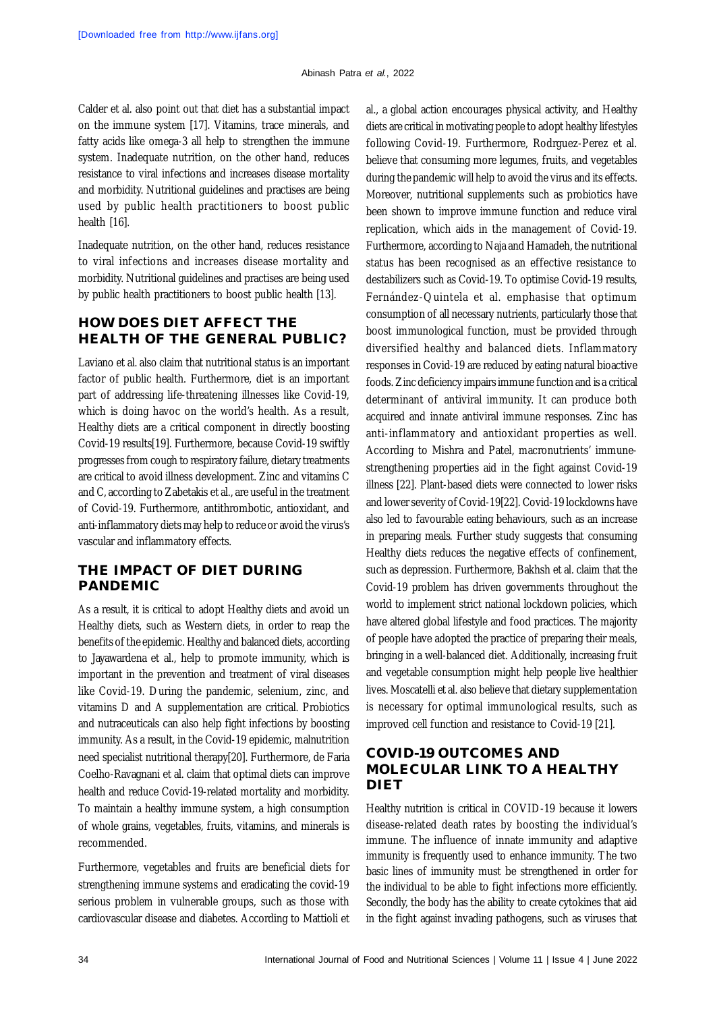Calder et al. also point out that diet has a substantial impact on the immune system [17]. Vitamins, trace minerals, and fatty acids like omega-3 all help to strengthen the immune system. Inadequate nutrition, on the other hand, reduces resistance to viral infections and increases disease mortality and morbidity. Nutritional guidelines and practises are being used by public health practitioners to boost public health [16].

Inadequate nutrition, on the other hand, reduces resistance to viral infections and increases disease mortality and morbidity. Nutritional guidelines and practises are being used by public health practitioners to boost public health [13].

## **HOW DOES DIET AFFECT THE HEALTH OF THE GENERAL PUBLIC?**

Laviano et al. also claim that nutritional status is an important factor of public health. Furthermore, diet is an important part of addressing life-threatening illnesses like Covid-19, which is doing havoc on the world's health. As a result, Healthy diets are a critical component in directly boosting Covid-19 results[19]. Furthermore, because Covid-19 swiftly progresses from cough to respiratory failure, dietary treatments are critical to avoid illness development. Zinc and vitamins C and C, according to Zabetakis et al., are useful in the treatment of Covid-19. Furthermore, antithrombotic, antioxidant, and anti-inflammatory diets may help to reduce or avoid the virus's vascular and inflammatory effects.

## **THE IMPACT OF DIET DURING PANDEMIC**

As a result, it is critical to adopt Healthy diets and avoid un Healthy diets, such as Western diets, in order to reap the benefits of the epidemic. Healthy and balanced diets, according to Jayawardena et al., help to promote immunity, which is important in the prevention and treatment of viral diseases like Covid-19. During the pandemic, selenium, zinc, and vitamins D and A supplementation are critical. Probiotics and nutraceuticals can also help fight infections by boosting immunity. As a result, in the Covid-19 epidemic, malnutrition need specialist nutritional therapy[20]. Furthermore, de Faria Coelho-Ravagnani et al. claim that optimal diets can improve health and reduce Covid-19-related mortality and morbidity. To maintain a healthy immune system, a high consumption of whole grains, vegetables, fruits, vitamins, and minerals is recommended.

Furthermore, vegetables and fruits are beneficial diets for strengthening immune systems and eradicating the covid-19 serious problem in vulnerable groups, such as those with cardiovascular disease and diabetes. According to Mattioli et al., a global action encourages physical activity, and Healthy diets are critical in motivating people to adopt healthy lifestyles following Covid-19. Furthermore, Rodrguez-Perez et al. believe that consuming more legumes, fruits, and vegetables during the pandemic will help to avoid the virus and its effects. Moreover, nutritional supplements such as probiotics have been shown to improve immune function and reduce viral replication, which aids in the management of Covid-19. Furthermore, according to Naja and Hamadeh, the nutritional status has been recognised as an effective resistance to destabilizers such as Covid-19. To optimise Covid-19 results, Fernández-Quintela et al. emphasise that optimum consumption of all necessary nutrients, particularly those that boost immunological function, must be provided through diversified healthy and balanced diets. Inflammatory responses in Covid-19 are reduced by eating natural bioactive foods. Zinc deficiency impairs immune function and is a critical determinant of antiviral immunity. It can produce both acquired and innate antiviral immune responses. Zinc has anti-inflammatory and antioxidant properties as well. According to Mishra and Patel, macronutrients' immunestrengthening properties aid in the fight against Covid-19 illness [22]. Plant-based diets were connected to lower risks and lower severity of Covid-19[22]. Covid-19 lockdowns have also led to favourable eating behaviours, such as an increase in preparing meals. Further study suggests that consuming Healthy diets reduces the negative effects of confinement, such as depression. Furthermore, Bakhsh et al. claim that the Covid-19 problem has driven governments throughout the world to implement strict national lockdown policies, which have altered global lifestyle and food practices. The majority of people have adopted the practice of preparing their meals, bringing in a well-balanced diet. Additionally, increasing fruit and vegetable consumption might help people live healthier lives. Moscatelli et al. also believe that dietary supplementation is necessary for optimal immunological results, such as improved cell function and resistance to Covid-19 [21].

## **COVID-19 OUTCOMES AND MOLECULAR LINK TO A HEALTHY DIET**

Healthy nutrition is critical in COVID-19 because it lowers disease-related death rates by boosting the individual's immune. The influence of innate immunity and adaptive immunity is frequently used to enhance immunity. The two basic lines of immunity must be strengthened in order for the individual to be able to fight infections more efficiently. Secondly, the body has the ability to create cytokines that aid in the fight against invading pathogens, such as viruses that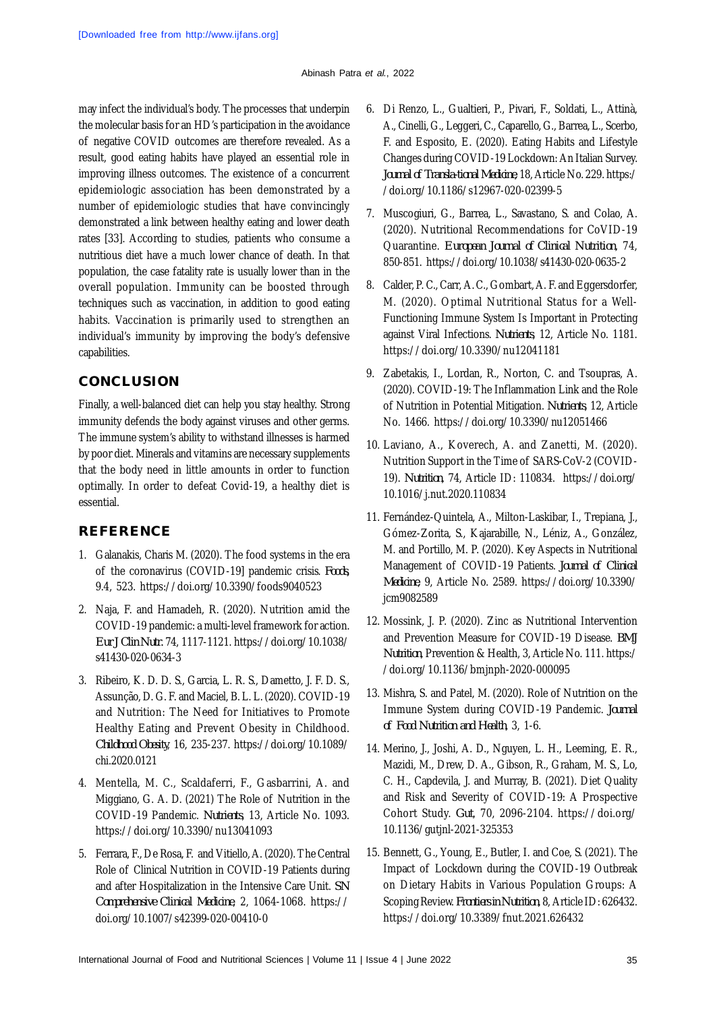may infect the individual's body. The processes that underpin the molecular basis for an HD's participation in the avoidance of negative COVID outcomes are therefore revealed. As a result, good eating habits have played an essential role in improving illness outcomes. The existence of a concurrent epidemiologic association has been demonstrated by a number of epidemiologic studies that have convincingly demonstrated a link between healthy eating and lower death rates [33]. According to studies, patients who consume a nutritious diet have a much lower chance of death. In that population, the case fatality rate is usually lower than in the overall population. Immunity can be boosted through techniques such as vaccination, in addition to good eating habits. Vaccination is primarily used to strengthen an individual's immunity by improving the body's defensive capabilities.

# **CONCLUSION**

Finally, a well-balanced diet can help you stay healthy. Strong immunity defends the body against viruses and other germs. The immune system's ability to withstand illnesses is harmed by poor diet. Minerals and vitamins are necessary supplements that the body need in little amounts in order to function optimally. In order to defeat Covid-19, a healthy diet is essential.

# **REFERENCE**

- 1. Galanakis, Charis M. (2020). The food systems in the era of the coronavirus (COVID-19] pandemic crisis. *Foods,* 9.4, 523. <https://doi.org/10.3390/foods9040523>
- 2. Naja, F. and Hamadeh, R. (2020). Nutrition amid the COVID-19 pandemic: a multi-level framework for action. *Eur J Clin Nutr.* 74, 1117-1121.<https://doi.org/10.1038/> s41430-020-0634-3
- 3. Ribeiro, K. D. D. S., Garcia, L. R. S., Dametto, J. F. D. S., Assunção, D. G. F. and Maciel, B. L. L. (2020). COVID-19 and Nutrition: The Need for Initiatives to Promote Healthy Eating and Prevent Obesity in Childhood. *Childhood Obesity*, 16, 235-237. <https://doi.org/10.1089/> chi.2020.0121
- 4. Mentella, M. C., Scaldaferri, F., Gasbarrini, A. and Miggiano, G. A. D. (2021) The Role of Nutrition in the COVID-19 Pandemic. *Nutrients*, 13, Article No. 1093. <https://doi.org/10.3390/nu13041093>
- 5. Ferrara, F., De Rosa, F. and Vitiello, A. (2020). The Central Role of Clinical Nutrition in COVID-19 Patients during and after Hospitalization in the Intensive Care Unit. *SN Comprehensive Clinical Medicine*, 2, 1064-1068. <https://> doi.org/10.1007/s42399-020-00410-0
- 6. Di Renzo, L., Gualtieri, P., Pivari, F., Soldati, L., Attinà, A., Cinelli, G., Leggeri, C., Caparello, G., Barrea, L., Scerbo, F. and Esposito, E. (2020). Eating Habits and Lifestyle Changes during COVID-19 Lockdown: An Italian Survey. *Journal of Transla-tional Medicine*, 18, Article No. 229. https:/ /doi.org/10.1186/s12967-020-02399-5
- 7. Muscogiuri, G., Barrea, L., Savastano, S. and Colao, A. (2020). Nutritional Recommendations for CoVID-19 Quarantine. *European Journal of Clinical Nutrition*, 74, 850-851. <https://doi.org/10.1038/s41430-020-0635-2>
- 8. Calder, P. C., Carr, A. C., Gombart, A. F. and Eggersdorfer, M. (2020). Optimal Nutritional Status for a Well-Functioning Immune System Is Important in Protecting against Viral Infections. *Nutrients*, 12, Article No. 1181. <https://doi.org/10.3390/nu12041181>
- 9. Zabetakis, I., Lordan, R., Norton, C. and Tsoupras, A. (2020). COVID-19: The Inflammation Link and the Role of Nutrition in Potential Mitigation. *Nutrients*, 12, Article No. 1466. <https://doi.org/10.3390/nu12051466>
- 10. Laviano, A., Koverech, A. and Zanetti, M. (2020). Nutrition Support in the Time of SARS-CoV-2 (COVID-19). *Nutrition*, 74, Article ID: 110834. <https://doi.org/> 10.1016/j.nut.2020.110834
- 11. Fernández-Quintela, A., Milton-Laskibar, I., Trepiana, J., Gómez-Zorita, S., Kajarabille, N., Léniz, A., González, M. and Portillo, M. P. (2020). Key Aspects in Nutritional Management of COVID-19 Patients. *Journal of Clinical Medicine*, 9, Article No. 2589. <https://doi.org/10.3390/> jcm9082589
- 12. Mossink, J. P. (2020). Zinc as Nutritional Intervention and Prevention Measure for COVID-19 Disease. *BMJ Nutrition*, Prevention & Health, 3, Article No. 111. https:/ /doi.org/10.1136/bmjnph-2020-000095
- 13. Mishra, S. and Patel, M. (2020). Role of Nutrition on the Immune System during COVID-19 Pandemic. *Journal of Food Nutrition and Health*, 3, 1-6.
- 14. Merino, J., Joshi, A. D., Nguyen, L. H., Leeming, E. R., Mazidi, M., Drew, D. A., Gibson, R., Graham, M. S., Lo, C. H., Capdevila, J. and Murray, B. (2021). Diet Quality and Risk and Severity of COVID-19: A Prospective Cohort Study. *Gut*, 70, 2096-2104. <https://doi.org/> 10.1136/gutjnl-2021-325353
- 15. Bennett, G., Young, E., Butler, I. and Coe, S. (2021). The Impact of Lockdown during the COVID-19 Outbreak on Dietary Habits in Various Population Groups: A Scoping Review. *Frontiers in Nutrition*, 8, Article ID: 626432. <https://doi.org/10.3389/fnut.2021.626432>